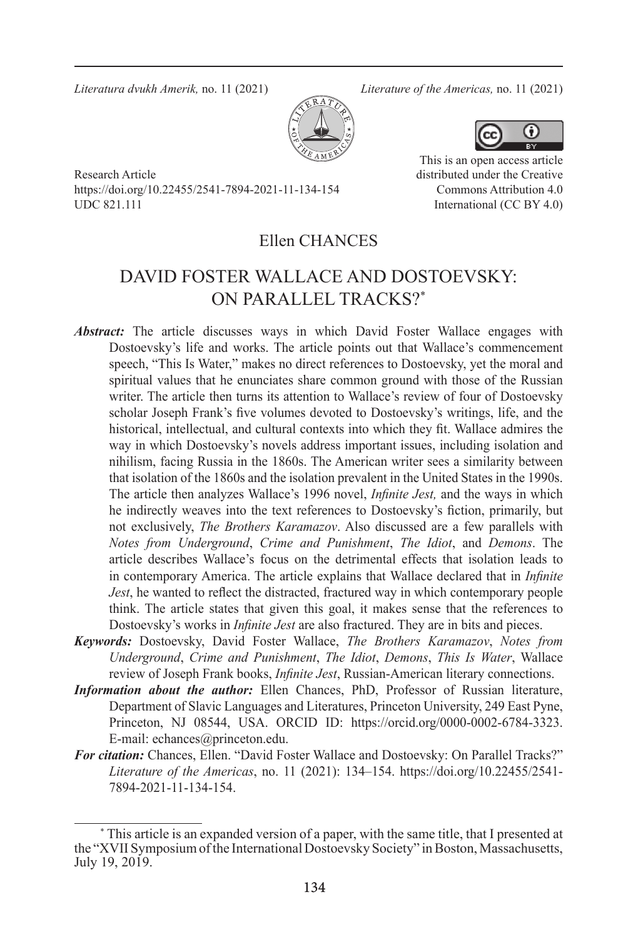*Literatura dvukh Amerik,* no. 11 (2021) *Literature of the Americas,* no. 11 (2021)



Research Article https://doi.org/10.22455/2541-7894-2021-11-134-154 UDC 821.111



This is an open access article distributed under the Creative Commons Attribution 4.0 International (CC BY 4.0)

### Ellen CHANCES

## DAVID FOSTER WALLACE AND DOSTOEVSKY: ON PARALLEL TRACKS?\*

- *Abstract:* The article discusses ways in which David Foster Wallace engages with Dostoevsky's life and works. The article points out that Wallace's commencement speech, "This Is Water," makes no direct references to Dostoevsky, yet the moral and spiritual values that he enunciates share common ground with those of the Russian writer. The article then turns its attention to Wallace's review of four of Dostoevsky scholar Joseph Frank's five volumes devoted to Dostoevsky's writings, life, and the historical, intellectual, and cultural contexts into which they fit. Wallace admires the way in which Dostoevsky's novels address important issues, including isolation and nihilism, facing Russia in the 1860s. The American writer sees a similarity between that isolation of the 1860s and the isolation prevalent in the United States in the 1990s. The article then analyzes Wallace's 1996 novel, *Infinite Jest,* and the ways in which he indirectly weaves into the text references to Dostoevsky's fiction, primarily, but not exclusively, *The Brothers Karamazov*. Also discussed are a few parallels with *Notes from Underground*, *Crime and Punishment*, *The Idiot*, and *Demons*. The article describes Wallace's focus on the detrimental effects that isolation leads to in contemporary America. The article explains that Wallace declared that in *Infinite Jest*, he wanted to reflect the distracted, fractured way in which contemporary people think. The article states that given this goal, it makes sense that the references to Dostoevsky's works in *Infinite Jest* are also fractured. They are in bits and pieces.
- *Keywords:* Dostoevsky, David Foster Wallace, *The Brothers Karamazov*, *Notes from Underground*, *Crime and Punishment*, *The Idiot*, *Demons*, *This Is Water*, Wallace review of Joseph Frank books, *Infinite Jest*, Russian-American literary connections.
- *Information about the author:* Ellen Chances, PhD, Professor of Russian literature, Department of Slavic Languages and Literatures, Princeton University, 249 East Pyne, Princeton, NJ 08544, USA. ORCID ID: https://orcid.org/0000-0002-6784-3323. E-mail: echances@princeton.edu.
- *For citation:* Chances, Ellen. "David Foster Wallace and Dostoevsky: On Parallel Tracks?" *Literature of the Americas*, no. 11 (2021): 134–154. https://doi.org/10.22455/2541- 7894-2021-11-134-154.

<sup>\*</sup> This article is an expanded version of a paper, with the same title, that I presented at the "XVII Symposium of the International Dostoevsky Society" in Boston, Massachusetts, July 19, 2019.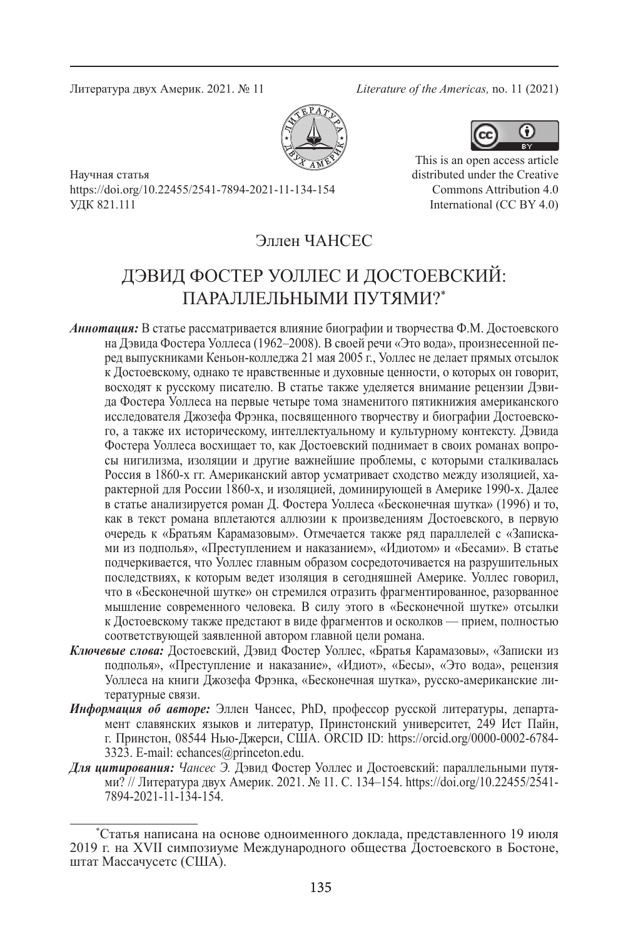Литература двух Америк. 2021. № 11 *Literature of the Americas,* no. 11 (2021)





Научная статья https://doi.org/10.22455/2541-7894-2021-11-134-154 УДК 821.111

This is an open access article distributed under the Creative Commons Attribution 4.0 International (CC BY 4.0)

## Эллен ЧАНСЕС

# ДЭВИД ФОСТЕР УОЛЛЕС И ДОСТОЕВСКИЙ: ПАРАЛЛЕЛЬНЫМИ ПУТЯМИ?\*

- *Аннотация:* В статье рассматривается влияние биографии и творчества Ф.М. Достоевского на Дэвида Фостера Уоллеса (1962–2008). В своей речи «Это вода», произнесенной перед выпускниками Кеньон-колледжа 21 мая 2005 г., Уоллес не делает прямых отсылок к Достоевскому, однако те нравственные и духовные ценности, о которых он говорит, восходят к русскому писателю. В статье также уделяется внимание рецензии Дэвида Фостера Уоллеса на первые четыре тома знаменитого пятикнижия американского исследователя Джозефа Фрэнка, посвященного творчеству и биографии Достоевского, а также их историческому, интеллектуальному и культурному контексту. Дэвида Фостера Уоллеса восхищает то, как Достоевский поднимает в своих романах вопросы нигилизма, изоляции и другие важнейшие проблемы, с которыми сталкивалась Россия в 1860-х гг. Американский автор усматривает сходство между изоляцией, характерной для России 1860-х, и изоляцией, доминирующей в Америке 1990-х. Далее в статье анализируется роман Д. Фостера Уоллеса «Бесконечная шутка» (1996) и то, как в текст романа вплетаются аллюзии к произведениям Достоевского, в первую очередь к «Братьям Карамазовым». Отмечается также ряд параллелей с «Записками из подполья», «Преступлением и наказанием», «Идиотом» и «Бесами». В статье подчеркивается, что Уоллес главным образом сосредоточивается на разрушительных последствиях, к которым ведет изоляция в сегодняшней Америке. Уоллес говорил, что в «Бесконечной шутке» он стремился отразить фрагментированное, разорванное мышление современного человека. В силу этого в «Бесконечной шутке» отсылки к Достоевскому также предстают в виде фрагментов и осколков — прием, полностью соответствующей заявленной автором главной цели романа.
- *Ключевые слова:* Достоевский, Дэвид Фостер Уоллес, «Братья Карамазовы», «Записки из подполья», «Преступление и наказание», «Идиот», «Бесы», «Это вода», рецензия Уоллеса на книги Джозефа Фрэнка, «Бесконечная шутка», русско-американские литературные связи.
- *Информация об авторе:* Эллен Чансес, PhD, профессор русской литературы, департамент славянских языков и литератур, Принстонский университет, 249 Ист Пайн, г. Принстон, 08544 Нью-Джерси, США. ORCID ID: https://orcid.org/0000-0002-6784- 3323. E-mail: echances@princeton.edu.
- *Для цитирования: Чансес Э.* Дэвид Фостер Уоллес и Достоевский: параллельными путями? // Литература двух Америк. 2021. № 11. С. 134–154. https://doi.org/10.22455/2541- 7894-2021-11-134-154.

<sup>\*</sup>Статья написана на основе одноименного доклада, представленного 19 июля 2019 г. на XVII симпозиуме Международного общества Достоевского в Бостоне, штат Массачусетс (США).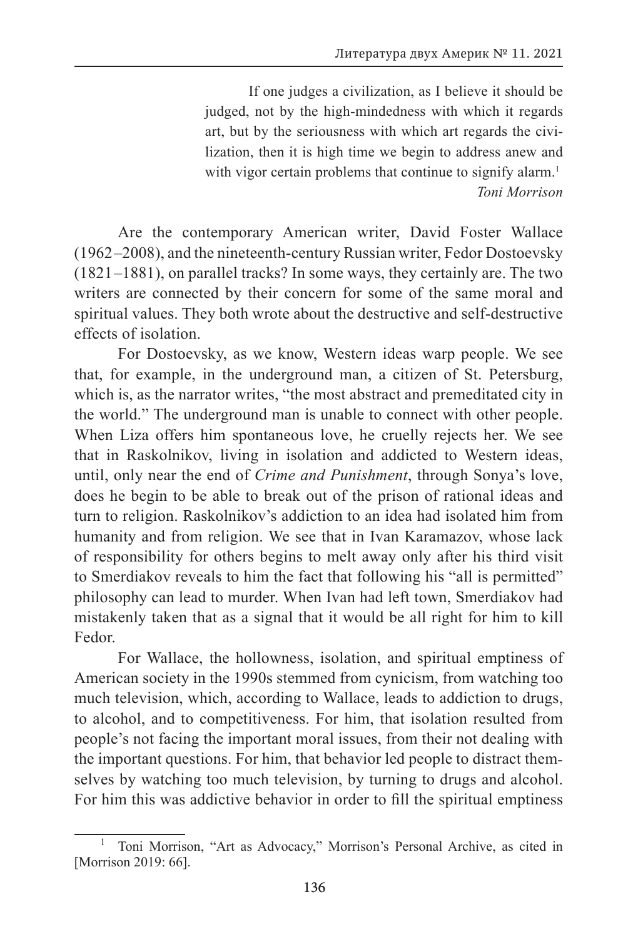If one judges a civilization, as I believe it should be judged, not by the high-mindedness with which it regards art, but by the seriousness with which art regards the civilization, then it is high time we begin to address anew and with vigor certain problems that continue to signify alarm.<sup>1</sup> *Toni Morrison*

Are the contemporary American writer, David Foster Wallace (1962 –2008), and the nineteenth-century Russian writer, Fedor Dostoevsky (1821 –1881), on parallel tracks? In some ways, they certainly are. The two writers are connected by their concern for some of the same moral and spiritual values. They both wrote about the destructive and self-destructive effects of isolation.

For Dostoevsky, as we know, Western ideas warp people. We see that, for example, in the underground man, a citizen of St. Petersburg, which is, as the narrator writes, "the most abstract and premeditated city in the world." The underground man is unable to connect with other people. When Liza offers him spontaneous love, he cruelly rejects her. We see that in Raskolnikov, living in isolation and addicted to Western ideas, until, only near the end of *Crime and Punishment*, through Sonya's love, does he begin to be able to break out of the prison of rational ideas and turn to religion. Raskolnikov's addiction to an idea had isolated him from humanity and from religion. We see that in Ivan Karamazov, whose lack of responsibility for others begins to melt away only after his third visit to Smerdiakov reveals to him the fact that following his "all is permitted" philosophy can lead to murder. When Ivan had left town, Smerdiakov had mistakenly taken that as a signal that it would be all right for him to kill Fedor.

For Wallace, the hollowness, isolation, and spiritual emptiness of American society in the 1990s stemmed from cynicism, from watching too much television, which, according to Wallace, leads to addiction to drugs, to alcohol, and to competitiveness. For him, that isolation resulted from people's not facing the important moral issues, from their not dealing with the important questions. For him, that behavior led people to distract themselves by watching too much television, by turning to drugs and alcohol. For him this was addictive behavior in order to fill the spiritual emptiness

<sup>1</sup> Toni Morrison, "Art as Advocacy," Morrison's Personal Archive, as cited in [Morrison 2019: 66].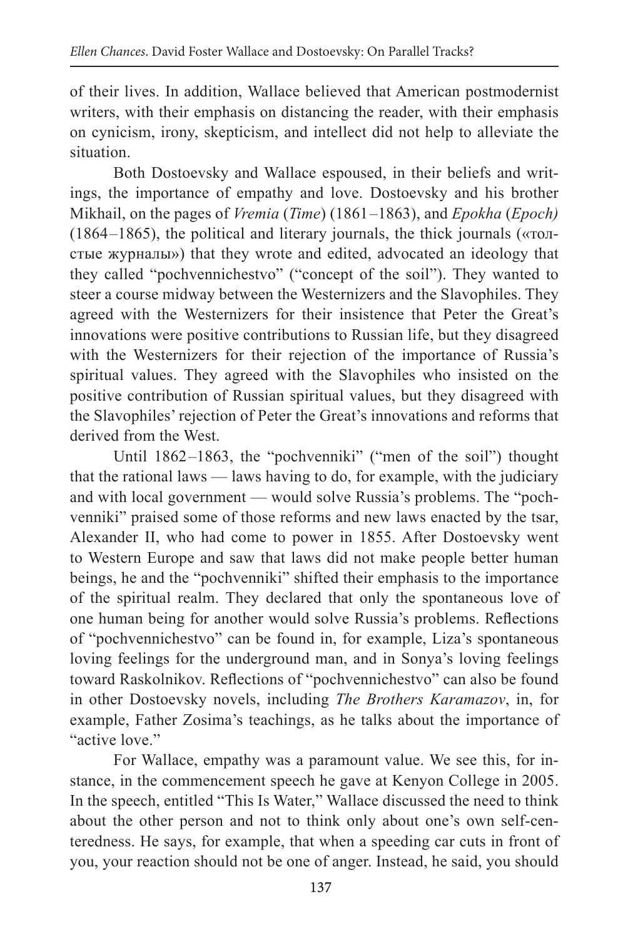of their lives. In addition, Wallace believed that American postmodernist writers, with their emphasis on distancing the reader, with their emphasis on cynicism, irony, skepticism, and intellect did not help to alleviate the situation.

Both Dostoevsky and Wallace espoused, in their beliefs and writings, the importance of empathy and love. Dostoevsky and his brother Mikhail, on the pages of *Vremia* (*Time*) (1861 –1863), and *Epokha* (*Epoch)*  (1864 –1865), the political and literary journals, the thick journals («толстые журналы») that they wrote and edited, advocated an ideology that they called "pochvennichestvo" ("concept of the soil"). They wanted to steer a course midway between the Westernizers and the Slavophiles. They agreed with the Westernizers for their insistence that Peter the Great's innovations were positive contributions to Russian life, but they disagreed with the Westernizers for their rejection of the importance of Russia's spiritual values. They agreed with the Slavophiles who insisted on the positive contribution of Russian spiritual values, but they disagreed with the Slavophiles' rejection of Peter the Great's innovations and reforms that derived from the West.

Until 1862–1863, the "pochvenniki" ("men of the soil") thought that the rational laws — laws having to do, for example, with the judiciary and with local government — would solve Russia's problems. The "pochvenniki" praised some of those reforms and new laws enacted by the tsar, Alexander II, who had come to power in 1855. After Dostoevsky went to Western Europe and saw that laws did not make people better human beings, he and the "pochvenniki" shifted their emphasis to the importance of the spiritual realm. They declared that only the spontaneous love of one human being for another would solve Russia's problems. Reflections of "pochvennichestvo" can be found in, for example, Liza's spontaneous loving feelings for the underground man, and in Sonya's loving feelings toward Raskolnikov. Reflections of "pochvennichestvo" can also be found in other Dostoevsky novels, including *The Brothers Karamazov*, in, for example, Father Zosima's teachings, as he talks about the importance of "active love."

For Wallace, empathy was a paramount value. We see this, for instance, in the commencement speech he gave at Kenyon College in 2005. In the speech, entitled "This Is Water," Wallace discussed the need to think about the other person and not to think only about one's own self-centeredness. He says, for example, that when a speeding car cuts in front of you, your reaction should not be one of anger. Instead, he said, you should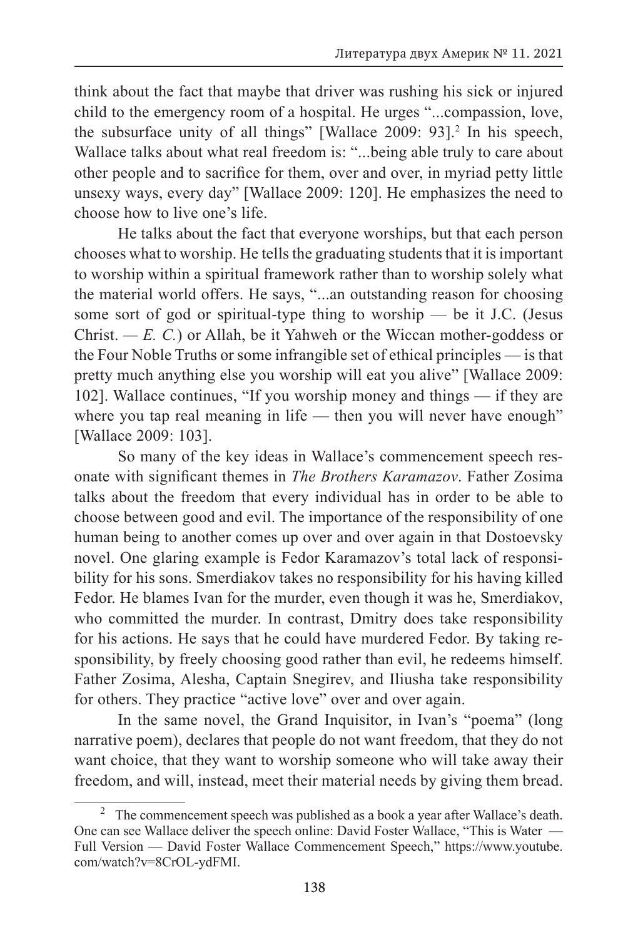think about the fact that maybe that driver was rushing his sick or injured child to the emergency room of a hospital. He urges "...compassion, love, the subsurface unity of all things" [Wallace 2009: 93].<sup>2</sup> In his speech, Wallace talks about what real freedom is: "...being able truly to care about other people and to sacrifice for them, over and over, in myriad petty little unsexy ways, every day" [Wallace 2009: 120]. He emphasizes the need to choose how to live one's life.

He talks about the fact that everyone worships, but that each person chooses what to worship. He tells the graduating students that it is important to worship within a spiritual framework rather than to worship solely what the material world offers. He says, "...an outstanding reason for choosing some sort of god or spiritual-type thing to worship — be it J.C. (Jesus Christ.  $-E$ . *C*.) or Allah, be it Yahweh or the Wiccan mother-goddess or the Four Noble Truths or some infrangible set of ethical principles — is that pretty much anything else you worship will eat you alive" [Wallace 2009: 102]. Wallace continues, "If you worship money and things — if they are where you tap real meaning in life — then you will never have enough" [Wallace 2009: 103].

So many of the key ideas in Wallace's commencement speech resonate with significant themes in *The Brothers Karamazov*. Father Zosima talks about the freedom that every individual has in order to be able to choose between good and evil. The importance of the responsibility of one human being to another comes up over and over again in that Dostoevsky novel. One glaring example is Fedor Karamazov's total lack of responsibility for his sons. Smerdiakov takes no responsibility for his having killed Fedor. He blames Ivan for the murder, even though it was he, Smerdiakov, who committed the murder. In contrast, Dmitry does take responsibility for his actions. He says that he could have murdered Fedor. By taking responsibility, by freely choosing good rather than evil, he redeems himself. Father Zosima, Alesha, Captain Snegirev, and Iliusha take responsibility for others. They practice "active love" over and over again.

In the same novel, the Grand Inquisitor, in Ivan's "poema" (long narrative poem), declares that people do not want freedom, that they do not want choice, that they want to worship someone who will take away their freedom, and will, instead, meet their material needs by giving them bread.

<sup>&</sup>lt;sup>2</sup> The commencement speech was published as a book a year after Wallace's death. One can see Wallace deliver the speech online: David Foster Wallace, "This is Water — Full Version — David Foster Wallace Commencement Speech," https://www.youtube. com/watch?v=8CrOL-ydFMI.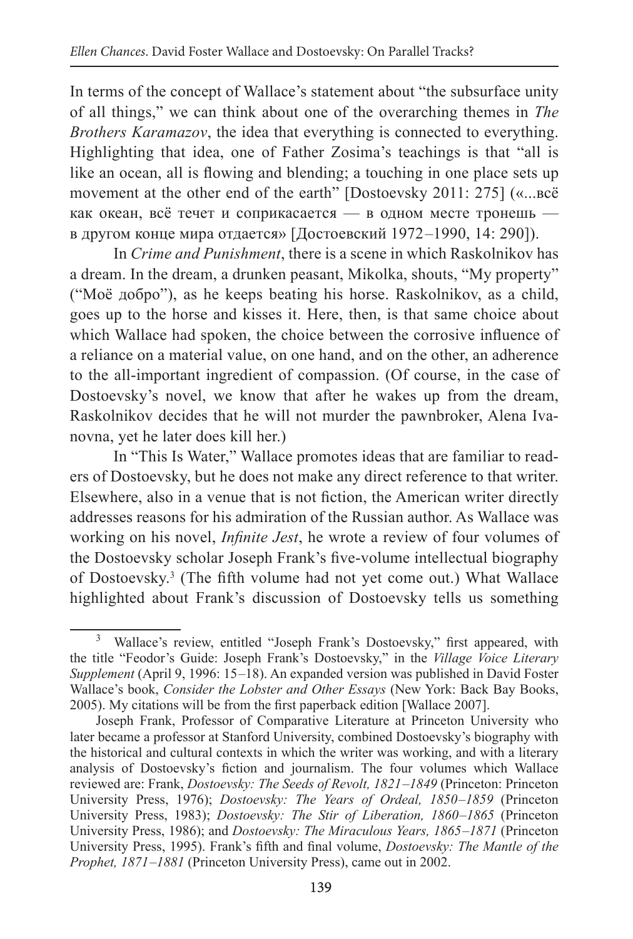In terms of the concept of Wallace's statement about "the subsurface unity of all things," we can think about one of the overarching themes in *The Brothers Karamazov*, the idea that everything is connected to everything. Highlighting that idea, one of Father Zosima's teachings is that "all is like an ocean, all is flowing and blending; a touching in one place sets up movement at the other end of the earth" [Dostoevsky 2011: 275] («...всë как океан, всë течет и соприкасается — в одном месте тронешь в другом конце мира отдается» [Достоевский 1972 –1990, 14: 290]).

In *Crime and Punishment*, there is a scene in which Raskolnikov has a dream. In the dream, a drunken peasant, Mikolka, shouts, "My property" ("Moë добро"), as he keeps beating his horse. Raskolnikov, as a child, goes up to the horse and kisses it. Here, then, is that same choice about which Wallace had spoken, the choice between the corrosive influence of a reliance on a material value, on one hand, and on the other, an adherence to the all-important ingredient of compassion. (Of course, in the case of Dostoevsky's novel, we know that after he wakes up from the dream, Raskolnikov decides that he will not murder the pawnbroker, Alena Ivanovna, yet he later does kill her.)

In "This Is Water," Wallace promotes ideas that are familiar to readers of Dostoevsky, but he does not make any direct reference to that writer. Elsewhere, also in a venue that is not fiction, the American writer directly addresses reasons for his admiration of the Russian author. As Wallace was working on his novel, *Infinite Jest*, he wrote a review of four volumes of the Dostoevsky scholar Joseph Frank's five-volume intellectual biography of Dostoevsky.3 (The fifth volume had not yet come out.) What Wallace highlighted about Frank's discussion of Dostoevsky tells us something

<sup>&</sup>lt;sup>3</sup> Wallace's review, entitled "Joseph Frank's Dostoevsky," first appeared, with the title "Feodor's Guide: Joseph Frank's Dostoevsky," in the *Village Voice Literary Supplement* (April 9, 1996: 15 –18). An expanded version was published in David Foster Wallace's book, *Consider the Lobster and Other Essays* (New York: Back Bay Books, 2005). My citations will be from the first paperback edition [Wallace 2007].

Joseph Frank, Professor of Comparative Literature at Princeton University who later became a professor at Stanford University, combined Dostoevsky's biography with the historical and cultural contexts in which the writer was working, and with a literary analysis of Dostoevsky's fiction and journalism. The four volumes which Wallace reviewed are: Frank, *Dostoevsky: The Seeds of Revolt, 1821 –1849* (Princeton: Princeton University Press, 1976); *Dostoevsky: The Years of Ordeal, 1850 –1859* (Princeton University Press, 1983); *Dostoevsky: The Stir of Liberation, 1860 –1865* (Princeton University Press, 1986); and *Dostoevsky: The Miraculous Years, 1865 –1871* (Princeton University Press, 1995). Frank's fifth and final volume, *Dostoevsky: The Mantle of the Prophet, 1871–1881* (Princeton University Press), came out in 2002.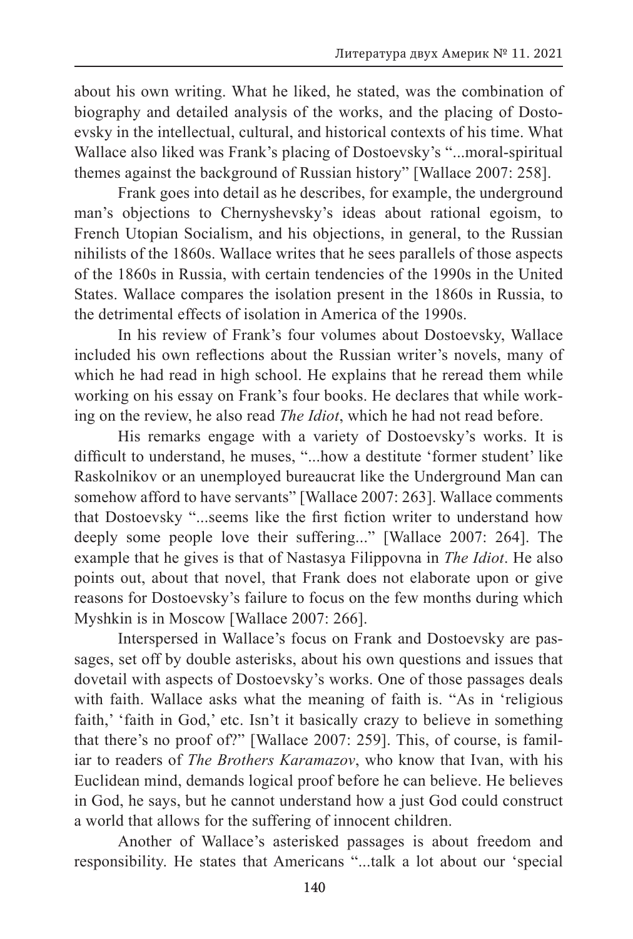about his own writing. What he liked, he stated, was the combination of biography and detailed analysis of the works, and the placing of Dostoevsky in the intellectual, cultural, and historical contexts of his time. What Wallace also liked was Frank's placing of Dostoevsky's "...moral-spiritual themes against the background of Russian history" [Wallace 2007: 258].

Frank goes into detail as he describes, for example, the underground man's objections to Chernyshevsky's ideas about rational egoism, to French Utopian Socialism, and his objections, in general, to the Russian nihilists of the 1860s. Wallace writes that he sees parallels of those aspects of the 1860s in Russia, with certain tendencies of the 1990s in the United States. Wallace compares the isolation present in the 1860s in Russia, to the detrimental effects of isolation in America of the 1990s.

In his review of Frank's four volumes about Dostoevsky, Wallace included his own reflections about the Russian writer's novels, many of which he had read in high school. He explains that he reread them while working on his essay on Frank's four books. He declares that while working on the review, he also read *The Idiot*, which he had not read before.

His remarks engage with a variety of Dostoevsky's works. It is difficult to understand, he muses, "...how a destitute 'former student' like Raskolnikov or an unemployed bureaucrat like the Underground Man can somehow afford to have servants" [Wallace 2007: 263]. Wallace comments that Dostoevsky "...seems like the first fiction writer to understand how deeply some people love their suffering..." [Wallace 2007: 264]. The example that he gives is that of Nastasya Filippovna in *The Idiot*. He also points out, about that novel, that Frank does not elaborate upon or give reasons for Dostoevsky's failure to focus on the few months during which Myshkin is in Moscow [Wallace 2007: 266].

Interspersed in Wallace's focus on Frank and Dostoevsky are passages, set off by double asterisks, about his own questions and issues that dovetail with aspects of Dostoevsky's works. One of those passages deals with faith. Wallace asks what the meaning of faith is. "As in 'religious faith,' 'faith in God,' etc. Isn't it basically crazy to believe in something that there's no proof of?" [Wallace 2007: 259]. This, of course, is familiar to readers of *The Brothers Karamazov*, who know that Ivan, with his Euclidean mind, demands logical proof before he can believe. He believes in God, he says, but he cannot understand how a just God could construct a world that allows for the suffering of innocent children.

Another of Wallace's asterisked passages is about freedom and responsibility. He states that Americans "...talk a lot about our ʻspecial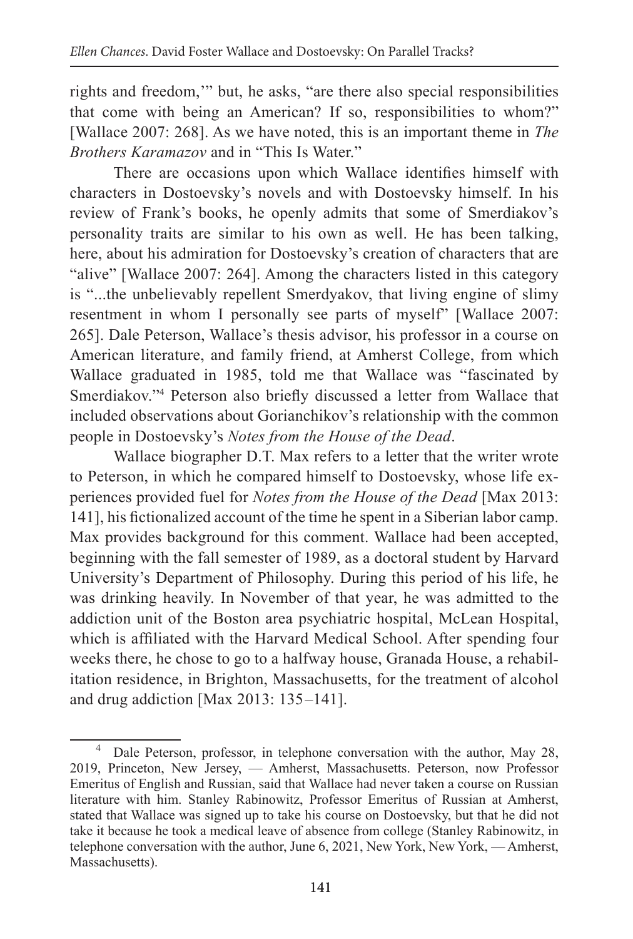rights and freedom,'" but, he asks, "are there also special responsibilities that come with being an American? If so, responsibilities to whom?" [Wallace 2007: 268]. As we have noted, this is an important theme in *The Brothers Karamazov* and in "This Is Water."

There are occasions upon which Wallace identifies himself with characters in Dostoevsky's novels and with Dostoevsky himself. In his review of Frank's books, he openly admits that some of Smerdiakov's personality traits are similar to his own as well. He has been talking, here, about his admiration for Dostoevsky's creation of characters that are "alive" [Wallace 2007: 264]. Among the characters listed in this category is "...the unbelievably repellent Smerdyakov, that living engine of slimy resentment in whom I personally see parts of myself" [Wallace 2007: 265]. Dale Peterson, Wallace's thesis advisor, his professor in a course on American literature, and family friend, at Amherst College, from which Wallace graduated in 1985, told me that Wallace was "fascinated by Smerdiakov."4 Peterson also briefly discussed a letter from Wallace that included observations about Gorianchikov's relationship with the common people in Dostoevsky's *Notes from the House of the Dead*.

Wallace biographer D.T. Max refers to a letter that the writer wrote to Peterson, in which he compared himself to Dostoevsky, whose life experiences provided fuel for *Notes from the House of the Dead* [Max 2013: 141], his fictionalized account of the time he spent in a Siberian labor camp. Max provides background for this comment. Wallace had been accepted, beginning with the fall semester of 1989, as a doctoral student by Harvard University's Department of Philosophy. During this period of his life, he was drinking heavily. In November of that year, he was admitted to the addiction unit of the Boston area psychiatric hospital, McLean Hospital, which is affiliated with the Harvard Medical School. After spending four weeks there, he chose to go to a halfway house, Granada House, a rehabilitation residence, in Brighton, Massachusetts, for the treatment of alcohol and drug addiction [Max 2013:  $135-141$ ].

Dale Peterson, professor, in telephone conversation with the author, May 28, 2019, Princeton, New Jersey, — Amherst, Massachusetts. Peterson, now Professor Emeritus of English and Russian, said that Wallace had never taken a course on Russian literature with him. Stanley Rabinowitz, Professor Emeritus of Russian at Amherst, stated that Wallace was signed up to take his course on Dostoevsky, but that he did not take it because he took a medical leave of absence from college (Stanley Rabinowitz, in telephone conversation with the author, June 6, 2021, New York, New York, — Amherst, Massachusetts).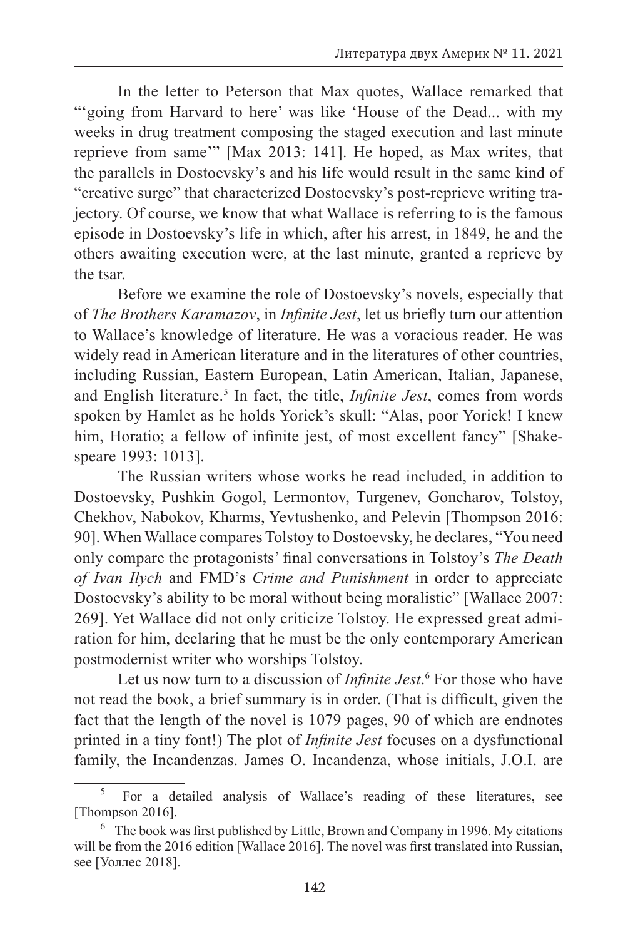In the letter to Peterson that Max quotes, Wallace remarked that "'going from Harvard to here' was like 'House of the Dead... with my weeks in drug treatment composing the staged execution and last minute reprieve from same'" [Max 2013: 141]. He hoped, as Max writes, that the parallels in Dostoevsky's and his life would result in the same kind of "creative surge" that characterized Dostoevsky's post-reprieve writing trajectory. Of course, we know that what Wallace is referring to is the famous episode in Dostoevsky's life in which, after his arrest, in 1849, he and the others awaiting execution were, at the last minute, granted a reprieve by the tsar.

Before we examine the role of Dostoevsky's novels, especially that of *The Brothers Karamazov*, in *Infinite Jest*, let us briefly turn our attention to Wallace's knowledge of literature. He was a voracious reader. He was widely read in American literature and in the literatures of other countries, including Russian, Eastern European, Latin American, Italian, Japanese, and English literature.<sup>5</sup> In fact, the title, *Infinite Jest*, comes from words spoken by Hamlet as he holds Yorick's skull: "Alas, poor Yorick! I knew him, Horatio; a fellow of infinite jest, of most excellent fancy" [Shakespeare 1993: 1013].

The Russian writers whose works he read included, in addition to Dostoevsky, Pushkin Gogol, Lermontov, Turgenev, Goncharov, Tolstoy, Chekhov, Nabokov, Kharms, Yevtushenko, and Pelevin [Thompson 2016: 90]. When Wallace compares Tolstoy to Dostoevsky, he declares, "You need only compare the protagonists' final conversations in Tolstoy's *The Death of Ivan Ilych* and FMD's *Crime and Punishment* in order to appreciate Dostoevsky's ability to be moral without being moralistic" [Wallace 2007: 269]. Yet Wallace did not only criticize Tolstoy. He expressed great admiration for him, declaring that he must be the only contemporary American postmodernist writer who worships Tolstoy.

Let us now turn to a discussion of *Infinite Jest*. 6 For those who have not read the book, a brief summary is in order. (That is difficult, given the fact that the length of the novel is 1079 pages, 90 of which are endnotes printed in a tiny font!) The plot of *Infinite Jest* focuses on a dysfunctional family, the Incandenzas. James O. Incandenza, whose initials, J.O.I. are

<sup>5</sup> For a detailed analysis of Wallace's reading of these literatures, see [Thompson 2016].

 $6$  The book was first published by Little, Brown and Company in 1996. My citations will be from the 2016 edition [Wallace 2016]. The novel was first translated into Russian, see [Уоллес 2018].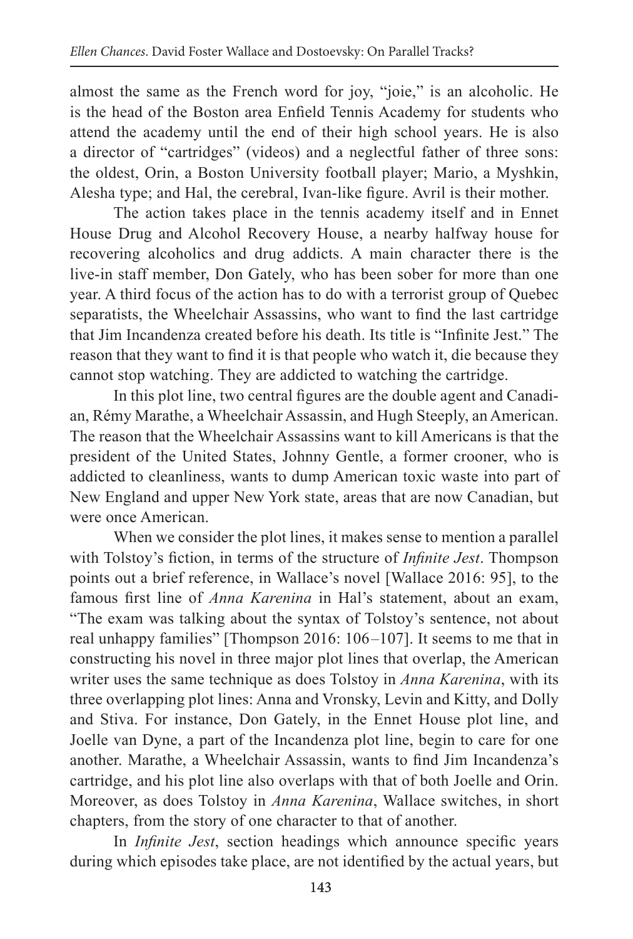almost the same as the French word for joy, "joie," is an alcoholic. He is the head of the Boston area Enfield Tennis Academy for students who attend the academy until the end of their high school years. He is also a director of "cartridges" (videos) and a neglectful father of three sons: the oldest, Orin, a Boston University football player; Mario, a Myshkin, Alesha type; and Hal, the cerebral, Ivan-like figure. Avril is their mother.

The action takes place in the tennis academy itself and in Ennet House Drug and Alcohol Recovery House, a nearby halfway house for recovering alcoholics and drug addicts. A main character there is the live-in staff member, Don Gately, who has been sober for more than one year. A third focus of the action has to do with a terrorist group of Quebec separatists, the Wheelchair Assassins, who want to find the last cartridge that Jim Incandenza created before his death. Its title is "Infinite Jest." The reason that they want to find it is that people who watch it, die because they cannot stop watching. They are addicted to watching the cartridge.

In this plot line, two central figures are the double agent and Canadian, Rémy Marathe, a Wheelchair Assassin, and Hugh Steeply, an American. The reason that the Wheelchair Assassins want to kill Americans is that the president of the United States, Johnny Gentle, a former crooner, who is addicted to cleanliness, wants to dump American toxic waste into part of New England and upper New York state, areas that are now Canadian, but were once American.

When we consider the plot lines, it makes sense to mention a parallel with Tolstoy's fiction, in terms of the structure of *Infinite Jest*. Thompson points out a brief reference, in Wallace's novel [Wallace 2016: 95], to the famous first line of *Anna Karenina* in Hal's statement, about an exam, "The exam was talking about the syntax of Tolstoy's sentence, not about real unhappy families" [Thompson 2016: 106 –107]. It seems to me that in constructing his novel in three major plot lines that overlap, the American writer uses the same technique as does Tolstoy in *Anna Karenina*, with its three overlapping plot lines: Anna and Vronsky, Levin and Kitty, and Dolly and Stiva. For instance, Don Gately, in the Ennet House plot line, and Joelle van Dyne, a part of the Incandenza plot line, begin to care for one another. Marathe, a Wheelchair Assassin, wants to find Jim Incandenza's cartridge, and his plot line also overlaps with that of both Joelle and Orin. Moreover, as does Tolstoy in *Anna Karenina*, Wallace switches, in short chapters, from the story of one character to that of another.

In *Infinite Jest*, section headings which announce specific years during which episodes take place, are not identified by the actual years, but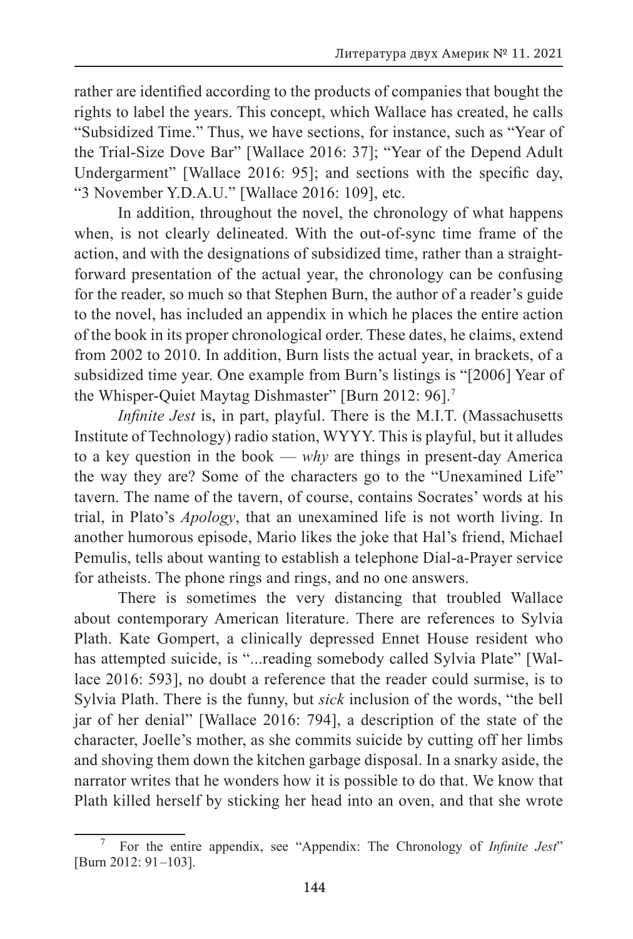rather are identified according to the products of companies that bought the rights to label the years. This concept, which Wallace has created, he calls "Subsidized Time." Thus, we have sections, for instance, such as "Year of the Trial-Size Dove Bar" [Wallace 2016: 37]; "Year of the Depend Adult Undergarment" [Wallace 2016: 95]; and sections with the specific day, "3 November Y.D.A.U." [Wallace 2016: 109], etc.

In addition, throughout the novel, the chronology of what happens when, is not clearly delineated. With the out-of-sync time frame of the action, and with the designations of subsidized time, rather than a straightforward presentation of the actual year, the chronology can be confusing for the reader, so much so that Stephen Burn, the author of a reader's guide to the novel, has included an appendix in which he places the entire action of the book in its proper chronological order. These dates, he claims, extend from 2002 to 2010. In addition, Burn lists the actual year, in brackets, of a subsidized time year. One example from Burn's listings is "[2006] Year of the Whisper-Quiet Maytag Dishmaster" [Burn 2012: 96].7

*Infinite Jest* is, in part, playful. There is the M.I.T. (Massachusetts Institute of Technology) radio station, WYYY. This is playful, but it alludes to a key question in the book — *why* are things in present-day America the way they are? Some of the characters go to the "Unexamined Life" tavern. The name of the tavern, of course, contains Socrates' words at his trial, in Plato's *Apology*, that an unexamined life is not worth living. In another humorous episode, Mario likes the joke that Hal's friend, Michael Pemulis, tells about wanting to establish a telephone Dial-a-Prayer service for atheists. The phone rings and rings, and no one answers.

There is sometimes the very distancing that troubled Wallace about contemporary American literature. There are references to Sylvia Plath. Kate Gompert, a clinically depressed Ennet House resident who has attempted suicide, is "...reading somebody called Sylvia Plate" [Wallace 2016: 593], no doubt a reference that the reader could surmise, is to Sylvia Plath. There is the funny, but *sick* inclusion of the words, "the bell jar of her denial" [Wallace 2016: 794], a description of the state of the character, Joelle's mother, as she commits suicide by cutting off her limbs and shoving them down the kitchen garbage disposal. In a snarky aside, the narrator writes that he wonders how it is possible to do that. We know that Plath killed herself by sticking her head into an oven, and that she wrote

<sup>7</sup> For the entire appendix, see "Appendix: The Chronology of *Infinite Jest*" [Burn 2012: 91–103].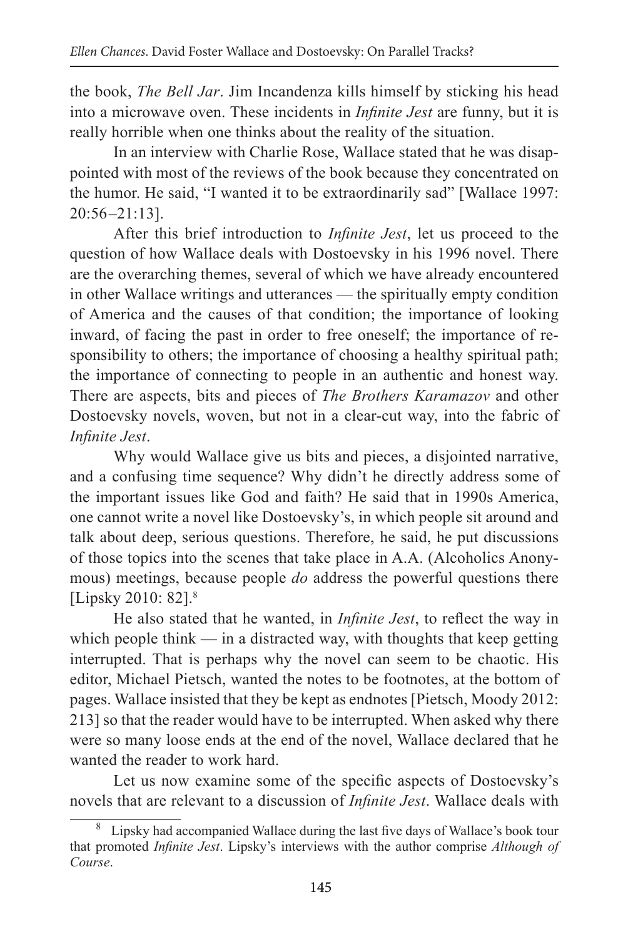the book, *The Bell Jar*. Jim Incandenza kills himself by sticking his head into a microwave oven. These incidents in *Infinite Jest* are funny, but it is really horrible when one thinks about the reality of the situation.

In an interview with Charlie Rose, Wallace stated that he was disappointed with most of the reviews of the book because they concentrated on the humor. He said, "I wanted it to be extraordinarily sad" [Wallace 1997: 20:56 –21:13].

After this brief introduction to *Infinite Jest*, let us proceed to the question of how Wallace deals with Dostoevsky in his 1996 novel. There are the overarching themes, several of which we have already encountered in other Wallace writings and utterances — the spiritually empty condition of America and the causes of that condition; the importance of looking inward, of facing the past in order to free oneself; the importance of responsibility to others; the importance of choosing a healthy spiritual path; the importance of connecting to people in an authentic and honest way. There are aspects, bits and pieces of *The Brothers Karamazov* and other Dostoevsky novels, woven, but not in a clear-cut way, into the fabric of *Infinite Jest*.

Why would Wallace give us bits and pieces, a disjointed narrative, and a confusing time sequence? Why didn't he directly address some of the important issues like God and faith? He said that in 1990s America, one cannot write a novel like Dostoevsky's, in which people sit around and talk about deep, serious questions. Therefore, he said, he put discussions of those topics into the scenes that take place in A.A. (Alcoholics Anonymous) meetings, because people *do* address the powerful questions there [Lipsky 2010: 82].<sup>8</sup>

He also stated that he wanted, in *Infinite Jest*, to reflect the way in which people think  $\frac{1}{\sqrt{2}}$  in a distracted way, with thoughts that keep getting interrupted. That is perhaps why the novel can seem to be chaotic. His editor, Michael Pietsch, wanted the notes to be footnotes, at the bottom of pages. Wallace insisted that they be kept as endnotes [Pietsch, Moody 2012: 213] so that the reader would have to be interrupted. When asked why there were so many loose ends at the end of the novel, Wallace declared that he wanted the reader to work hard.

Let us now examine some of the specific aspects of Dostoevsky's novels that are relevant to a discussion of *Infinite Jest*. Wallace deals with

<sup>&</sup>lt;sup>8</sup> Lipsky had accompanied Wallace during the last five days of Wallace's book tour that promoted *Infinite Jest*. Lipsky's interviews with the author comprise *Although of Course*.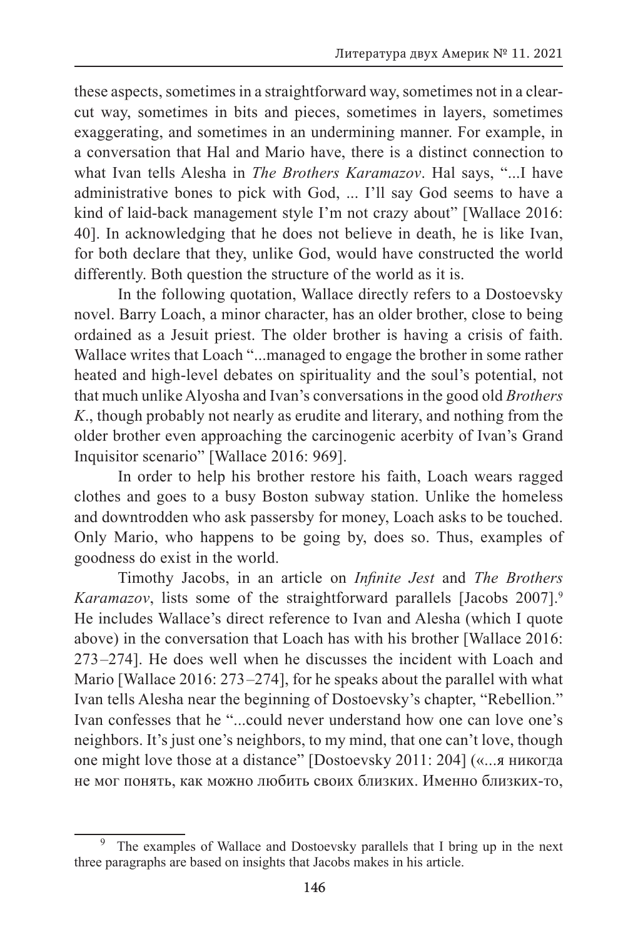these aspects, sometimes in a straightforward way, sometimes not in a clearcut way, sometimes in bits and pieces, sometimes in layers, sometimes exaggerating, and sometimes in an undermining manner. For example, in a conversation that Hal and Mario have, there is a distinct connection to what Ivan tells Alesha in *The Brothers Karamazov*. Hal says, "...I have administrative bones to pick with God, ... I'll say God seems to have a kind of laid-back management style I'm not crazy about" [Wallace 2016: 40]. In acknowledging that he does not believe in death, he is like Ivan, for both declare that they, unlike God, would have constructed the world differently. Both question the structure of the world as it is.

In the following quotation, Wallace directly refers to a Dostoevsky novel. Barry Loach, a minor character, has an older brother, close to being ordained as a Jesuit priest. The older brother is having a crisis of faith. Wallace writes that Loach "...managed to engage the brother in some rather heated and high-level debates on spirituality and the soul's potential, not that much unlike Alyosha and Ivan's conversations in the good old *Brothers K*., though probably not nearly as erudite and literary, and nothing from the older brother even approaching the carcinogenic acerbity of Ivan's Grand Inquisitor scenario" [Wallace 2016: 969].

In order to help his brother restore his faith, Loach wears ragged clothes and goes to a busy Boston subway station. Unlike the homeless and downtrodden who ask passersby for money, Loach asks to be touched. Only Mario, who happens to be going by, does so. Thus, examples of goodness do exist in the world.

Timothy Jacobs, in an article on *Infinite Jest* and *The Brothers Karamazov*, lists some of the straightforward parallels [Jacobs 2007].9 He includes Wallace's direct reference to Ivan and Alesha (which I quote above) in the conversation that Loach has with his brother [Wallace 2016: 273 –274]. He does well when he discusses the incident with Loach and Mario [Wallace 2016: 273–274], for he speaks about the parallel with what Ivan tells Alesha near the beginning of Dostoevsky's chapter, "Rebellion." Ivan confesses that he "...could never understand how one can love one's neighbors. It's just one's neighbors, to my mind, that one can't love, though one might love those at a distance" [Dostoevsky 2011: 204] («...я никогда не мог понять, как можно любить своих близких. Именно близких-то,

The examples of Wallace and Dostoevsky parallels that I bring up in the next three paragraphs are based on insights that Jacobs makes in his article.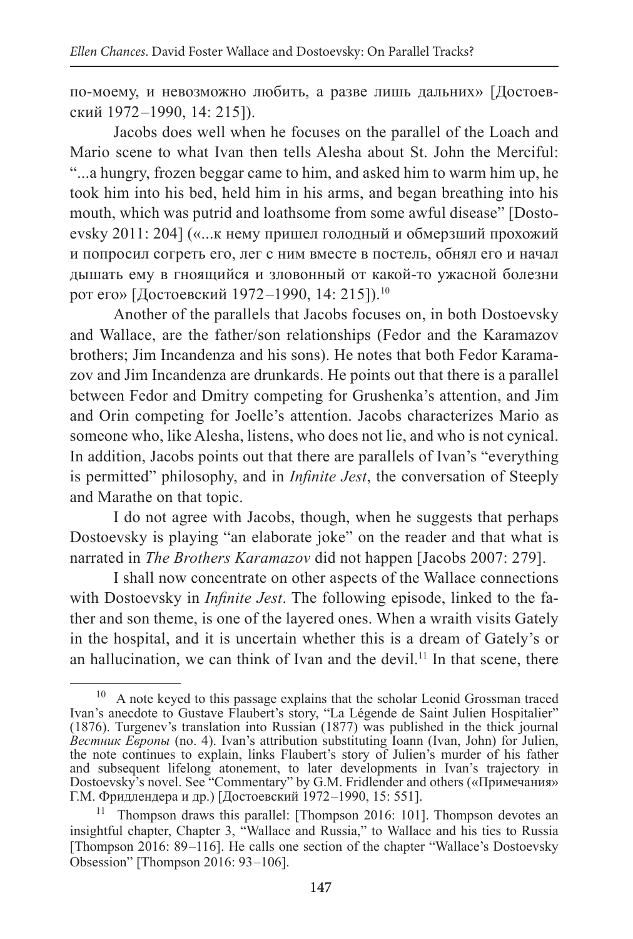по-моему, и невозможно любить, а разве лишь дальних» [Достоевский 1972 –1990, 14: 215]).

Jacobs does well when he focuses on the parallel of the Loach and Mario scene to what Ivan then tells Alesha about St. John the Merciful: "...a hungry, frozen beggar came to him, and asked him to warm him up, he took him into his bed, held him in his arms, and began breathing into his mouth, which was putrid and loathsome from some awful disease" [Dostoevsky 2011: 204] («...к нему пришел голодный и обмерзший прохожий и попросил согреть его, лег с ним вместе в постель, обнял его и начал дышать ему в гноящийся и зловонный от какой-то ужасной болезни рот его» [Достоевский 1972–1990, 14: 215]).<sup>10</sup>

Another of the parallels that Jacobs focuses on, in both Dostoevsky and Wallace, are the father/son relationships (Fedor and the Karamazov brothers; Jim Incandenza and his sons). He notes that both Fedor Karamazov and Jim Incandenza are drunkards. He points out that there is a parallel between Fedor and Dmitry competing for Grushenka's attention, and Jim and Orin competing for Joelle's attention. Jacobs characterizes Mario as someone who, like Alesha, listens, who does not lie, and who is not cynical. In addition, Jacobs points out that there are parallels of Ivan's "everything is permitted" philosophy, and in *Infinite Jest*, the conversation of Steeply and Marathe on that topic.

I do not agree with Jacobs, though, when he suggests that perhaps Dostoevsky is playing "an elaborate joke" on the reader and that what is narrated in *The Brothers Karamazov* did not happen [Jacobs 2007: 279].

I shall now concentrate on other aspects of the Wallace connections with Dostoevsky in *Infinite Jest*. The following episode, linked to the father and son theme, is one of the layered ones. When a wraith visits Gately in the hospital, and it is uncertain whether this is a dream of Gately's or an hallucination, we can think of Ivan and the devil.<sup>11</sup> In that scene, there

<sup>10</sup> A note keyed to this passage explains that the scholar Leonid Grossman traced Ivan's anecdote to Gustave Flaubert's story, "La Légende de Saint Julien Hospitalier" (1876). Turgenev's translation into Russian (1877) was published in the thick journal *Вестник Европы* (no. 4). Ivan's attribution substituting Ioann (Ivan, John) for Julien, the note continues to explain, links Flaubert's story of Julien's murder of his father and subsequent lifelong atonement, to later developments in Ivan's trajectory in Dostoevsky's novel. See "Commentary" by G.M. Fridlender and others («Примечания» Г.М. Фридлендера и др.) [Достоевский 1972 –1990, 15: 551].

<sup>&</sup>lt;sup>11</sup> Thompson draws this parallel: [Thompson 2016: 101]. Thompson devotes an insightful chapter, Chapter 3, "Wallace and Russia," to Wallace and his ties to Russia [Thompson 2016: 89–116]. He calls one section of the chapter "Wallace's Dostoevsky" Obsession" [Thompson 2016: 93 –106].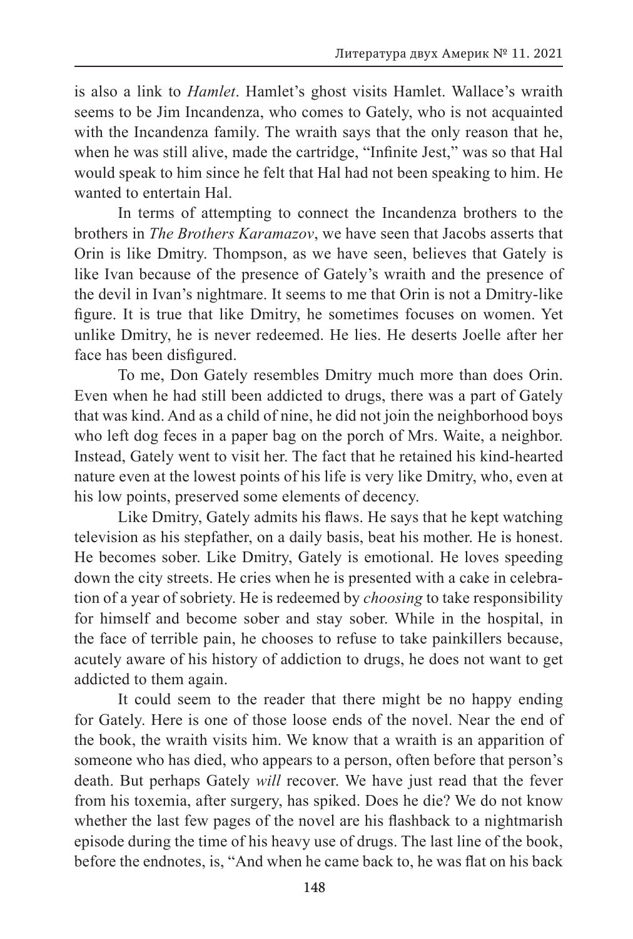is also a link to *Hamlet*. Hamlet's ghost visits Hamlet. Wallace's wraith seems to be Jim Incandenza, who comes to Gately, who is not acquainted with the Incandenza family. The wraith says that the only reason that he, when he was still alive, made the cartridge, "Infinite Jest," was so that Hal would speak to him since he felt that Hal had not been speaking to him. He wanted to entertain Hal.

In terms of attempting to connect the Incandenza brothers to the brothers in *The Brothers Karamazov*, we have seen that Jacobs asserts that Orin is like Dmitry. Thompson, as we have seen, believes that Gately is like Ivan because of the presence of Gately's wraith and the presence of the devil in Ivan's nightmare. It seems to me that Orin is not a Dmitry-like figure. It is true that like Dmitry, he sometimes focuses on women. Yet unlike Dmitry, he is never redeemed. He lies. He deserts Joelle after her face has been disfigured.

To me, Don Gately resembles Dmitry much more than does Orin. Even when he had still been addicted to drugs, there was a part of Gately that was kind. And as a child of nine, he did not join the neighborhood boys who left dog feces in a paper bag on the porch of Mrs. Waite, a neighbor. Instead, Gately went to visit her. The fact that he retained his kind-hearted nature even at the lowest points of his life is very like Dmitry, who, even at his low points, preserved some elements of decency.

Like Dmitry, Gately admits his flaws. He says that he kept watching television as his stepfather, on a daily basis, beat his mother. He is honest. He becomes sober. Like Dmitry, Gately is emotional. He loves speeding down the city streets. He cries when he is presented with a cake in celebration of a year of sobriety. He is redeemed by *choosing* to take responsibility for himself and become sober and stay sober. While in the hospital, in the face of terrible pain, he chooses to refuse to take painkillers because, acutely aware of his history of addiction to drugs, he does not want to get addicted to them again.

It could seem to the reader that there might be no happy ending for Gately. Here is one of those loose ends of the novel. Near the end of the book, the wraith visits him. We know that a wraith is an apparition of someone who has died, who appears to a person, often before that person's death. But perhaps Gately *will* recover. We have just read that the fever from his toxemia, after surgery, has spiked. Does he die? We do not know whether the last few pages of the novel are his flashback to a nightmarish episode during the time of his heavy use of drugs. The last line of the book, before the endnotes, is, "And when he came back to, he was flat on his back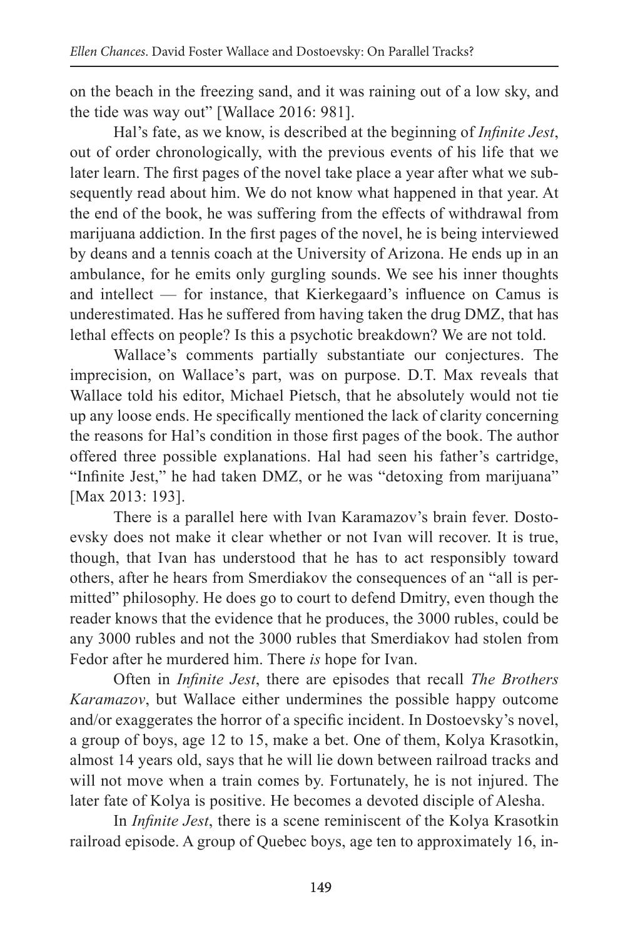on the beach in the freezing sand, and it was raining out of a low sky, and the tide was way out" [Wallace 2016: 981].

Hal's fate, as we know, is described at the beginning of *Infinite Jest*, out of order chronologically, with the previous events of his life that we later learn. The first pages of the novel take place a year after what we subsequently read about him. We do not know what happened in that year. At the end of the book, he was suffering from the effects of withdrawal from marijuana addiction. In the first pages of the novel, he is being interviewed by deans and a tennis coach at the University of Arizona. He ends up in an ambulance, for he emits only gurgling sounds. We see his inner thoughts and intellect — for instance, that Kierkegaard's influence on Camus is underestimated. Has he suffered from having taken the drug DMZ, that has lethal effects on people? Is this a psychotic breakdown? We are not told.

Wallace's comments partially substantiate our conjectures. The imprecision, on Wallace's part, was on purpose. D.T. Max reveals that Wallace told his editor, Michael Pietsch, that he absolutely would not tie up any loose ends. He specifically mentioned the lack of clarity concerning the reasons for Hal's condition in those first pages of the book. The author offered three possible explanations. Hal had seen his father's cartridge, "Infinite Jest," he had taken DMZ, or he was "detoxing from marijuana" [Max 2013: 193].

There is a parallel here with Ivan Karamazov's brain fever. Dostoevsky does not make it clear whether or not Ivan will recover. It is true, though, that Ivan has understood that he has to act responsibly toward others, after he hears from Smerdiakov the consequences of an "all is permitted" philosophy. He does go to court to defend Dmitry, even though the reader knows that the evidence that he produces, the 3000 rubles, could be any 3000 rubles and not the 3000 rubles that Smerdiakov had stolen from Fedor after he murdered him. There *is* hope for Ivan.

Often in *Infinite Jest*, there are episodes that recall *The Brothers Karamazov*, but Wallace either undermines the possible happy outcome and/or exaggerates the horror of a specific incident. In Dostoevsky's novel, a group of boys, age 12 to 15, make a bet. One of them, Kolya Krasotkin, almost 14 years old, says that he will lie down between railroad tracks and will not move when a train comes by. Fortunately, he is not injured. The later fate of Kolya is positive. He becomes a devoted disciple of Alesha.

In *Infinite Jest*, there is a scene reminiscent of the Kolya Krasotkin railroad episode. A group of Quebec boys, age ten to approximately 16, in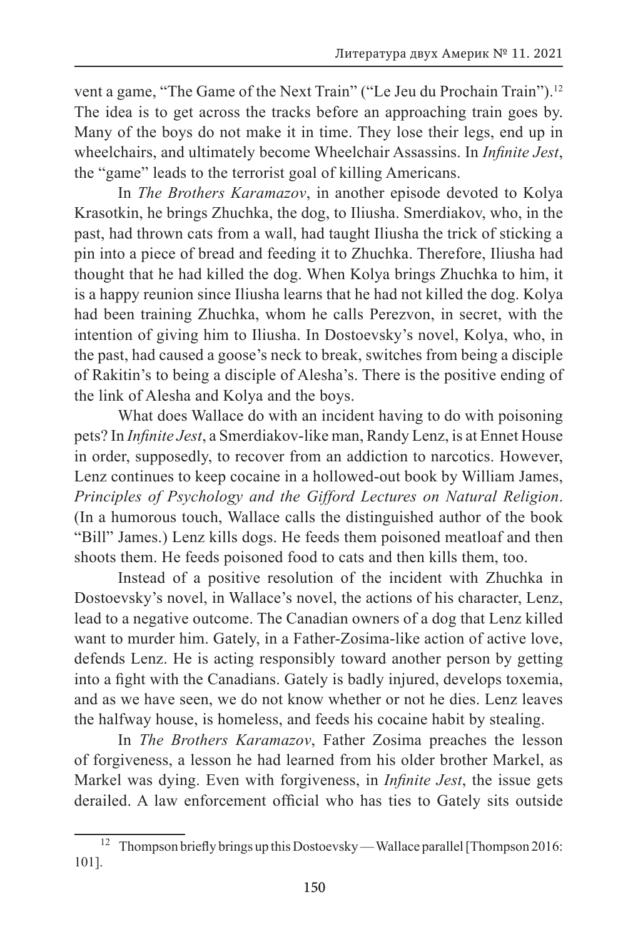vent a game, "The Game of the Next Train" ("Le Jeu du Prochain Train").<sup>12</sup> The idea is to get across the tracks before an approaching train goes by. Many of the boys do not make it in time. They lose their legs, end up in wheelchairs, and ultimately become Wheelchair Assassins. In *Infinite Jest*, the "game" leads to the terrorist goal of killing Americans.

In *The Brothers Karamazov*, in another episode devoted to Kolya Krasotkin, he brings Zhuchka, the dog, to Iliusha. Smerdiakov, who, in the past, had thrown cats from a wall, had taught Iliusha the trick of sticking a pin into a piece of bread and feeding it to Zhuchka. Therefore, Iliusha had thought that he had killed the dog. When Kolya brings Zhuchka to him, it is a happy reunion since Iliusha learns that he had not killed the dog. Kolya had been training Zhuchka, whom he calls Perezvon, in secret, with the intention of giving him to Iliusha. In Dostoevsky's novel, Kolya, who, in the past, had caused a goose's neck to break, switches from being a disciple of Rakitin's to being a disciple of Alesha's. There is the positive ending of the link of Alesha and Kolya and the boys.

What does Wallace do with an incident having to do with poisoning pets? In *Infinite Jest*, a Smerdiakov-like man, Randy Lenz, is at Ennet House in order, supposedly, to recover from an addiction to narcotics. However, Lenz continues to keep cocaine in a hollowed-out book by William James, *Principles of Psychology and the Gifford Lectures on Natural Religion*. (In a humorous touch, Wallace calls the distinguished author of the book "Bill" James.) Lenz kills dogs. He feeds them poisoned meatloaf and then shoots them. He feeds poisoned food to cats and then kills them, too.

Instead of a positive resolution of the incident with Zhuchka in Dostoevsky's novel, in Wallace's novel, the actions of his character, Lenz, lead to a negative outcome. The Canadian owners of a dog that Lenz killed want to murder him. Gately, in a Father-Zosima-like action of active love, defends Lenz. He is acting responsibly toward another person by getting into a fight with the Canadians. Gately is badly injured, develops toxemia, and as we have seen, we do not know whether or not he dies. Lenz leaves the halfway house, is homeless, and feeds his cocaine habit by stealing.

In *The Brothers Karamazov*, Father Zosima preaches the lesson of forgiveness, a lesson he had learned from his older brother Markel, as Markel was dying. Even with forgiveness, in *Infinite Jest*, the issue gets derailed. A law enforcement official who has ties to Gately sits outside

<sup>&</sup>lt;sup>12</sup> Thompson briefly brings up this Dostoevsky — Wallace parallel [Thompson 2016: 101].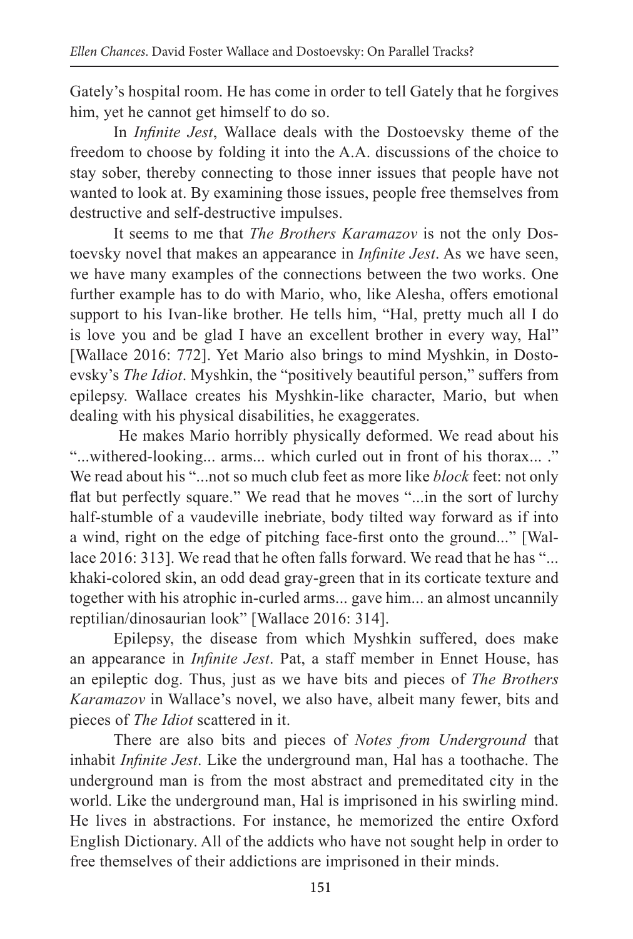Gately's hospital room. He has come in order to tell Gately that he forgives him, yet he cannot get himself to do so.

In *Infinite Jest*, Wallace deals with the Dostoevsky theme of the freedom to choose by folding it into the A.A. discussions of the choice to stay sober, thereby connecting to those inner issues that people have not wanted to look at. By examining those issues, people free themselves from destructive and self-destructive impulses.

It seems to me that *The Brothers Karamazov* is not the only Dostoevsky novel that makes an appearance in *Infinite Jest*. As we have seen, we have many examples of the connections between the two works. One further example has to do with Mario, who, like Alesha, offers emotional support to his Ivan-like brother. He tells him, "Hal, pretty much all I do is love you and be glad I have an excellent brother in every way, Hal" [Wallace 2016: 772]. Yet Mario also brings to mind Myshkin, in Dostoevsky's *The Idiot*. Myshkin, the "positively beautiful person," suffers from epilepsy. Wallace creates his Myshkin-like character, Mario, but when dealing with his physical disabilities, he exaggerates.

 He makes Mario horribly physically deformed. We read about his "...withered-looking... arms... which curled out in front of his thorax... ." We read about his "...not so much club feet as more like *block* feet: not only flat but perfectly square." We read that he moves "...in the sort of lurchy half-stumble of a vaudeville inebriate, body tilted way forward as if into a wind, right on the edge of pitching face-first onto the ground..." [Wallace 2016: 313]. We read that he often falls forward. We read that he has "... khaki-colored skin, an odd dead gray-green that in its corticate texture and together with his atrophic in-curled arms... gave him... an almost uncannily reptilian/dinosaurian look" [Wallace 2016: 314].

Epilepsy, the disease from which Myshkin suffered, does make an appearance in *Infinite Jest*. Pat, a staff member in Ennet House, has an epileptic dog. Thus, just as we have bits and pieces of *The Brothers Karamazov* in Wallace's novel, we also have, albeit many fewer, bits and pieces of *The Idiot* scattered in it.

There are also bits and pieces of *Notes from Underground* that inhabit *Infinite Jest*. Like the underground man, Hal has a toothache. The underground man is from the most abstract and premeditated city in the world. Like the underground man, Hal is imprisoned in his swirling mind. He lives in abstractions. For instance, he memorized the entire Oxford English Dictionary. All of the addicts who have not sought help in order to free themselves of their addictions are imprisoned in their minds.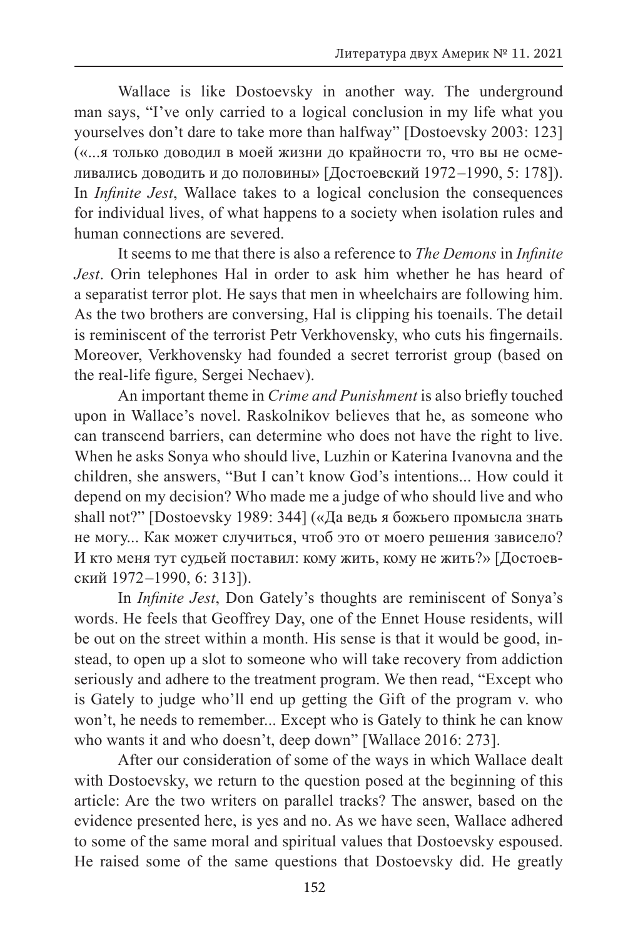Wallace is like Dostoevsky in another way. The underground man says, "I've only carried to a logical conclusion in my life what you yourselves don't dare to take more than halfway" [Dostoevsky 2003: 123] («...я только доводил в моей жизни до крайности то, что вы не осмеливались доводить и до половины» [Достоевский 1972 –1990, 5: 178]). In *Infinite Jest*, Wallace takes to a logical conclusion the consequences for individual lives, of what happens to a society when isolation rules and human connections are severed.

It seems to me that there is also a reference to *The Demons* in *Infinite Jest*. Orin telephones Hal in order to ask him whether he has heard of a separatist terror plot. He says that men in wheelchairs are following him. As the two brothers are conversing, Hal is clipping his toenails. The detail is reminiscent of the terrorist Petr Verkhovensky, who cuts his fingernails. Moreover, Verkhovensky had founded a secret terrorist group (based on the real-life figure, Sergei Nechaev).

An important theme in *Crime and Punishment* is also briefly touched upon in Wallace's novel. Raskolnikov believes that he, as someone who can transcend barriers, can determine who does not have the right to live. When he asks Sonya who should live, Luzhin or Katerina Ivanovna and the children, she answers, "But I can't know God's intentions... How could it depend on my decision? Who made me a judge of who should live and who shall not?" [Dostoevsky 1989: 344] («Да ведь я божьего промысла знать не могу... Как может случиться, чтоб это от моего решения зависело? И кто меня тут судьей поставил: кому жить, кому не жить?» [Достоевский 1972 –1990, 6: 313]).

In *Infinite Jest*, Don Gately's thoughts are reminiscent of Sonya's words. He feels that Geoffrey Day, one of the Ennet House residents, will be out on the street within a month. His sense is that it would be good, instead, to open up a slot to someone who will take recovery from addiction seriously and adhere to the treatment program. We then read, "Except who is Gately to judge who'll end up getting the Gift of the program v. who won't, he needs to remember... Except who is Gately to think he can know who wants it and who doesn't, deep down" [Wallace 2016: 273].

After our consideration of some of the ways in which Wallace dealt with Dostoevsky, we return to the question posed at the beginning of this article: Are the two writers on parallel tracks? The answer, based on the evidence presented here, is yes and no. As we have seen, Wallace adhered to some of the same moral and spiritual values that Dostoevsky espoused. He raised some of the same questions that Dostoevsky did. He greatly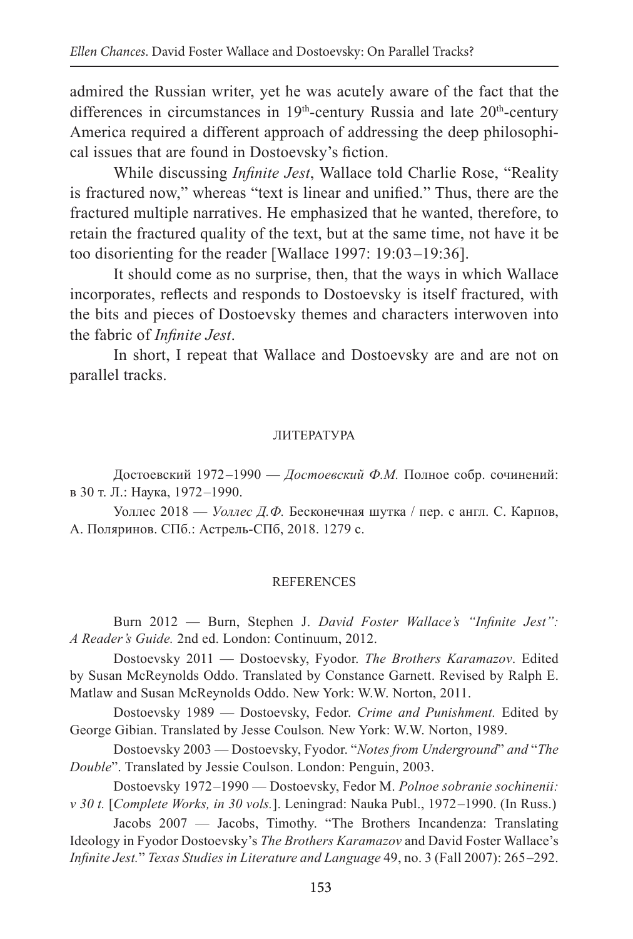admired the Russian writer, yet he was acutely aware of the fact that the differences in circumstances in  $19<sup>th</sup>$ -century Russia and late  $20<sup>th</sup>$ -century America required a different approach of addressing the deep philosophical issues that are found in Dostoevsky's fiction.

While discussing *Infinite Jest*, Wallace told Charlie Rose, "Reality is fractured now," whereas "text is linear and unified." Thus, there are the fractured multiple narratives. He emphasized that he wanted, therefore, to retain the fractured quality of the text, but at the same time, not have it be too disorienting for the reader [Wallace 1997: 19:03 –19:36].

It should come as no surprise, then, that the ways in which Wallace incorporates, reflects and responds to Dostoevsky is itself fractured, with the bits and pieces of Dostoevsky themes and characters interwoven into the fabric of *Infinite Jest*.

In short, I repeat that Wallace and Dostoevsky are and are not on parallel tracks.

### ЛИТЕРАТУРА

Достоевский 1972 –1990 — *Достоевский Ф.М.* Полное собр. сочинений: в 30 т. Л.: Наука, 1972 –1990.

Уоллес 2018 — *Уоллес Д.Ф.* Бесконечная шутка / пер. с англ. С. Карпов, А. Поляринов. СПб.: Астрель-СПб, 2018. 1279 с.

#### REFERENCES

Burn 2012 — Burn, Stephen J. *David Foster Wallace's "Infinite Jest": A Reader's Guide.* 2nd ed. London: Continuum, 2012.

Dostoevsky 2011 — Dostoevsky, Fyodor. *The Brothers Karamazov*. Edited by Susan McReynolds Oddo. Translated by Constance Garnett. Revised by Ralph E. Matlaw and Susan McReynolds Oddo. New York: W.W. Norton, 2011.

Dostoevsky 1989 — Dostoevsky, Fedor. *Crime and Punishment.* Edited by George Gibian. Translated by Jesse Coulson*.* New York: W.W. Norton, 1989.

Dostoevsky 2003 — Dostoevsky, Fyodor. "*Notes from Underground*" *and* "*The Double*". Translated by Jessie Coulson. London: Penguin, 2003.

Dostoevsky 1972 –1990 — Dostoevsky, Fedor M. *Polnoe sobranie sochinenii: v 30 t.* [*Complete Works, in 30 vols.*]. Leningrad: Nauka Publ., 1972 –1990. (In Russ.)

Jacobs 2007 — Jacobs, Timothy. "The Brothers Incandenza: Translating Ideology in Fyodor Dostoevsky's *The Brothers Karamazov* and David Foster Wallace's *Infinite Jest.*" *Texas Studies in Literature and Language* 49, no. 3 (Fall 2007): 265 –292.